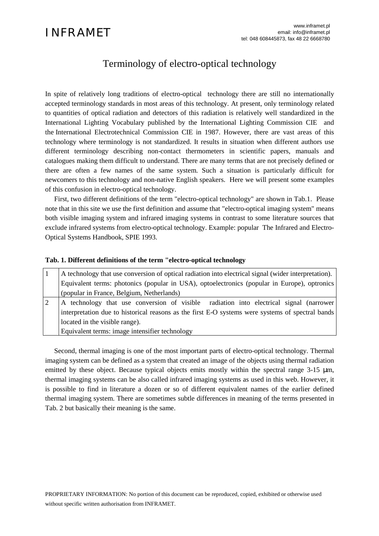# Terminology of electro-optical technology

In spite of relatively long traditions of electro-optical technology there are still no internationally accepted terminology standards in most areas of this technology. At present, only terminology related to quantities of optical radiation and detectors of this radiation is relatively well standardized in the International Lighting Vocabulary published by the International Lighting Commission CIE and the International Electrotechnical Commission CIE in 1987. However, there are vast areas of this technology where terminology is not standardized. It results in situation when different authors use different terminology describing non-contact thermometers in scientific papers, manuals and catalogues making them difficult to understand. There are many terms that are not precisely defined or there are often a few names of the same system. Such a situation is particularly difficult for newcomers to this technology and non-native English speakers. Here we will present some examples of this confusion in electro-optical technology.

First, two different definitions of the term "electro-optical technology" are shown in Tab.1. Please note that in this site we use the first definition and assume that "electro-optical imaging system" means both visible imaging system and infrared imaging systems in contrast to some literature sources that exclude infrared systems from electro-optical technology. Example: popular The Infrared and Electro-Optical Systems Handbook, SPIE 1993.

|                | Tab. 1. Different definitions of the term "electro-optical technology                                |  |  |  |  |  |  |
|----------------|------------------------------------------------------------------------------------------------------|--|--|--|--|--|--|
|                | A technology that use conversion of optical radiation into electrical signal (wider interpretation). |  |  |  |  |  |  |
|                | Equivalent terms: photonics (popular in USA), optoelectronics (popular in Europe), optronics         |  |  |  |  |  |  |
|                | (popular in France, Belgium, Netherlands)                                                            |  |  |  |  |  |  |
| $\overline{2}$ | A technology that use conversion of visible radiation into electrical signal (narrower               |  |  |  |  |  |  |
|                | interpretation due to historical reasons as the first E-O systems were systems of spectral bands     |  |  |  |  |  |  |
|                | located in the visible range).                                                                       |  |  |  |  |  |  |
|                | Equivalent terms: image intensifier technology                                                       |  |  |  |  |  |  |

Second, thermal imaging is one of the most important parts of electro-optical technology. Thermal imaging system can be defined as a system that created an image of the objects using thermal radiation emitted by these object. Because typical objects emits mostly within the spectral range  $3-15 \mu m$ , thermal imaging systems can be also called infrared imaging systems as used in this web. However, it is possible to find in literature a dozen or so of different equivalent names of the earlier defined thermal imaging system. There are sometimes subtle differences in meaning of the terms presented in Tab. 2 but basically their meaning is the same.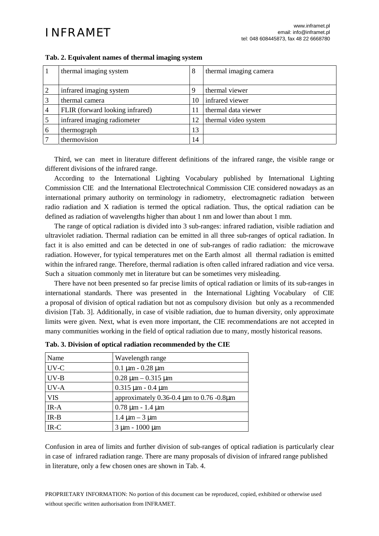|   | thermal imaging system          | 8  | thermal imaging camera |
|---|---------------------------------|----|------------------------|
|   |                                 |    |                        |
|   | infrared imaging system         | 9  | thermal viewer         |
|   | thermal camera                  | 10 | infrared viewer        |
|   | FLIR (forward looking infrared) | 11 | thermal data viewer    |
|   | infrared imaging radiometer     | 12 | thermal video system   |
| 6 | thermograph                     | 13 |                        |
|   | thermovision                    | 14 |                        |

### **Tab. 2. Equivalent names of thermal imaging system**

Third, we can meet in literature different definitions of the infrared range, the visible range or different divisions of the infrared range.

According to the International Lighting Vocabulary published by International Lighting Commission CIE and the International Electrotechnical Commission CIE considered nowadays as an international primary authority on terminology in radiometry, electromagnetic radiation between radio radiation and X radiation is termed the optical radiation. Thus, the optical radiation can be defined as radiation of wavelengths higher than about 1 nm and lower than about 1 mm.

The range of optical radiation is divided into 3 sub-ranges: infrared radiation, visible radiation and ultraviolet radiation. Thermal radiation can be emitted in all three sub-ranges of optical radiation. In fact it is also emitted and can be detected in one of sub-ranges of radio radiation: the microwave radiation. However, for typical temperatures met on the Earth almost all thermal radiation is emitted within the infrared range. Therefore, thermal radiation is often called infrared radiation and vice versa. Such a situation commonly met in literature but can be sometimes very misleading.

There have not been presented so far precise limits of optical radiation or limits of its sub-ranges in international standards. There was presented in the International Lighting Vocabulary of CIE a proposal of division of optical radiation but not as compulsory division but only as a recommended division [Tab. 3]. Additionally, in case of visible radiation, due to human diversity, only approximate limits were given. Next, what is even more important, the CIE recommendations are not accepted in many communities working in the field of optical radiation due to many, mostly historical reasons.

| Name       | Wavelength range                              |
|------------|-----------------------------------------------|
| UV-C       | $0.1 \mu m - 0.28 \mu m$                      |
| $UV-B$     | $0.28 \mu m - 0.315 \mu m$                    |
| UV-A       | $0.315 \mu m - 0.4 \mu m$                     |
| <b>VIS</b> | approximately $0.36$ -0.4 µm to $0.76$ -0.8µm |
| $IR-A$     | $0.78 \mu m - 1.4 \mu m$                      |
| $IR-B$     | $1.4 \mu m - 3 \mu m$                         |
| $IR-C$     | $3 \mu m - 1000 \mu m$                        |

| Tab. 3. Division of optical radiation recommended by the CIE |  |  |  |  |  |  |  |  |  |  |
|--------------------------------------------------------------|--|--|--|--|--|--|--|--|--|--|
|--------------------------------------------------------------|--|--|--|--|--|--|--|--|--|--|

Confusion in area of limits and further division of sub-ranges of optical radiation is particularly clear in case of infrared radiation range. There are many proposals of division of infrared range published in literature, only a few chosen ones are shown in Tab. 4.

PROPRIETARY INFORMATION: No portion of this document can be reproduced, copied, exhibited or otherwise used without specific written authorisation from INFRAMET.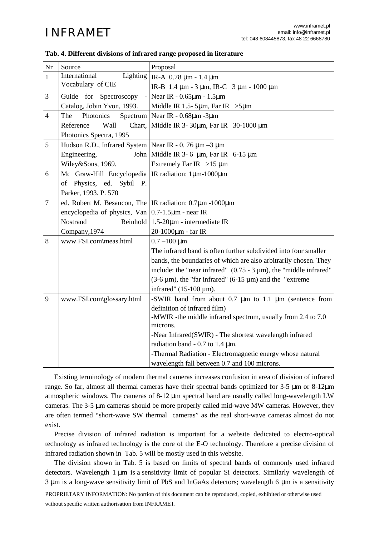| $\rm Nr$       | Source                                                             | Proposal                                                                |  |  |
|----------------|--------------------------------------------------------------------|-------------------------------------------------------------------------|--|--|
| $\mathbf{1}$   | Lighting<br>International                                          | IR-A $0.78 \mu m - 1.4 \mu m$                                           |  |  |
|                | Vocabulary of CIE                                                  | IR-B 1.4 μm - 3 μm, IR-C 3 μm - 1000 μm                                 |  |  |
| 3              | Guide for Spectroscopy                                             | Near IR - 0.65µm - 1.5µm                                                |  |  |
|                | Catalog, Jobin Yvon, 1993.                                         | Middle IR 1.5- 5 $\mu$ m, Far IR > 5 $\mu$ m                            |  |  |
| $\overline{4}$ | The<br>Photonics                                                   | Spectrum   Near IR - $0.68 \mu m$ -3 $\mu m$                            |  |  |
|                | Reference<br>Wall<br>Chart,                                        | Middle IR 3-30μm, Far IR 30-1000 μm                                     |  |  |
|                | Photonics Spectra, 1995                                            |                                                                         |  |  |
| 5              | Hudson R.D., Infrared System   Near IR - 0. 76 $\mu$ m - 3 $\mu$ m |                                                                         |  |  |
|                | Engineering,                                                       | John Middle IR 3-6 $\mu$ m, Far IR 6-15 $\mu$ m                         |  |  |
|                | Wiley&Sons, 1969.                                                  | Extremely Far IR $>15 \mu m$                                            |  |  |
| 6              | Mc Graw-Hill Encyclopedia   IR radiation: $1 \mu m - 1000 \mu m$   |                                                                         |  |  |
|                | of Physics, ed. Sybil P.                                           |                                                                         |  |  |
|                | Parker, 1993. P. 570                                               |                                                                         |  |  |
| $\overline{7}$ | ed. Robert M. Besancon, The   IR radiation: 0.7μm -1000μm          |                                                                         |  |  |
|                | encyclopedia of physics, Van $\vert 0.7$ -1.5 $\mu$ m - near IR    |                                                                         |  |  |
|                | Nostrand<br>Reinhold                                               | $1.5 - 20 \mu m$ - intermediate IR                                      |  |  |
|                | Company, 1974                                                      | 20-1000μm - far IR                                                      |  |  |
| 8              | www.FSI.com\meas.html                                              | $0.7 - 100 \mu m$                                                       |  |  |
|                |                                                                    | The infrared band is often further subdivided into four smaller         |  |  |
|                |                                                                    | bands, the boundaries of which are also arbitrarily chosen. They        |  |  |
|                |                                                                    | include: the "near infrared" $(0.75 - 3 \mu m)$ , the "middle infrared" |  |  |
|                |                                                                    | $(3-6 \mu m)$ , the "far infrared" $(6-15 \mu m)$ and the "extreme"     |  |  |
|                |                                                                    | infrared" $(15-100 \mu m)$ .                                            |  |  |
| 9              | www.FSI.com\glossary.html                                          | -SWIR band from about $0.7 \mu m$ to $1.1 \mu m$ (sentence from         |  |  |
|                |                                                                    | definition of infrared film)                                            |  |  |
|                |                                                                    | -MWIR -the middle infrared spectrum, usually from 2.4 to 7.0            |  |  |
|                |                                                                    | microns.                                                                |  |  |
|                |                                                                    | -Near Infrared(SWIR) - The shortest wavelength infrared                 |  |  |
|                |                                                                    | radiation band - 0.7 to 1.4 $\mu$ m.                                    |  |  |
|                |                                                                    | -Thermal Radiation - Electromagnetic energy whose natural               |  |  |
|                |                                                                    | wavelength fall between 0.7 and 100 microns.                            |  |  |

### **Tab. 4. Different divisions of infrared range proposed in literature**

Existing terminology of modern thermal cameras increases confusion in area of division of infrared range. So far, almost all thermal cameras have their spectral bands optimized for 3-5 µm or 8-12µm atmospheric windows. The cameras of 8-12 µm spectral band are usually called long-wavelength LW cameras. The 3-5 µm cameras should be more properly called mid-wave MW cameras. However, they are often termed "short-wave SW thermal cameras" as the real short-wave cameras almost do not exist.

Precise division of infrared radiation is important for a website dedicated to electro-optical technology as infrared technology is the core of the E-O technology. Therefore a precise division of infrared radiation shown in Tab. 5 will be mostly used in this website.

The division shown in Tab. 5 is based on limits of spectral bands of commonly used infrared detectors. Wavelength 1 µm is a sensitivity limit of popular Si detectors. Similarly wavelength of 3 µm is a long-wave sensitivity limit of PbS and InGaAs detectors; wavelength 6 µm is a sensitivity

PROPRIETARY INFORMATION: No portion of this document can be reproduced, copied, exhibited or otherwise used without specific written authorisation from INFRAMET.